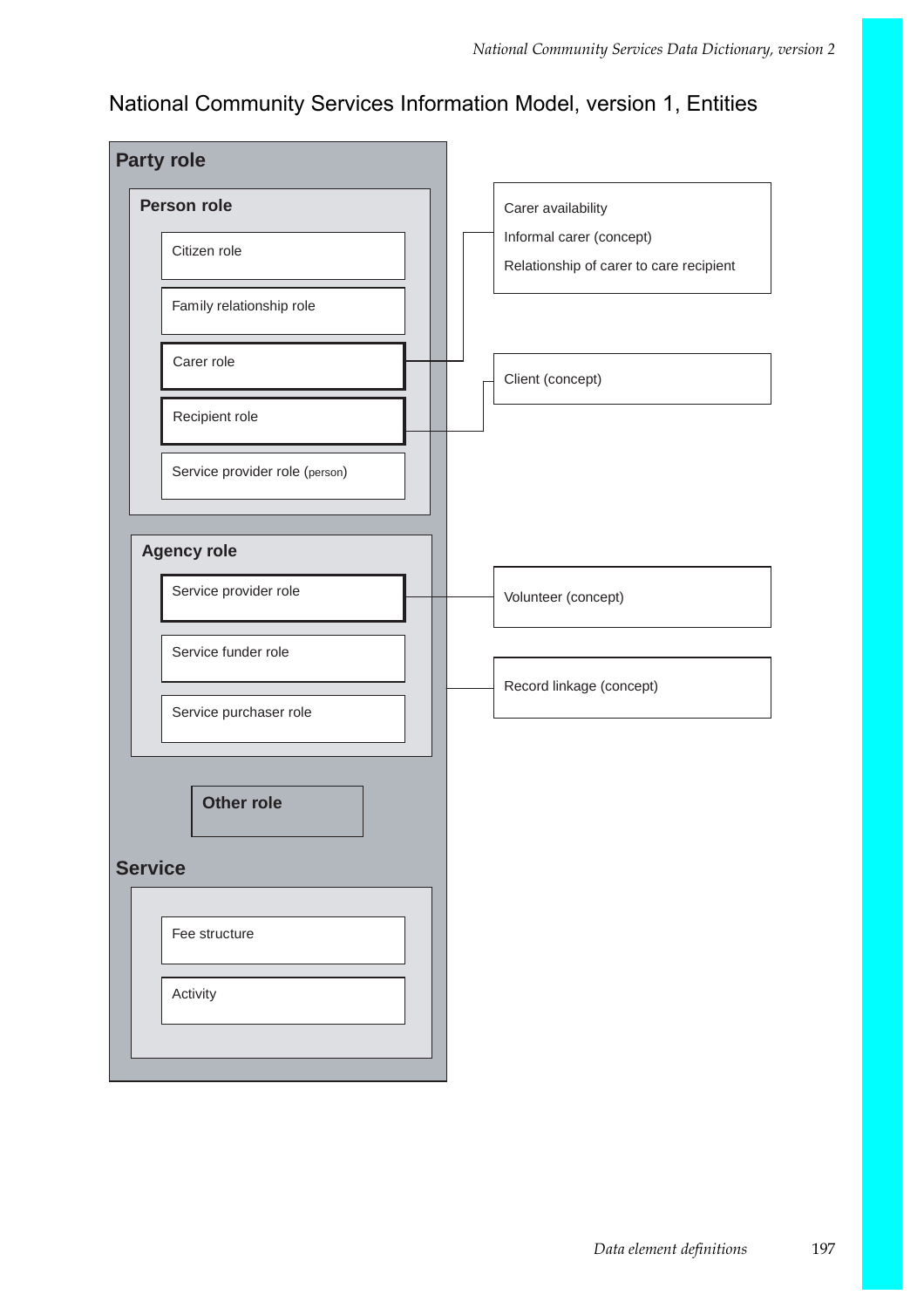## National Community Services Information Model, version 1, Entities

| <b>Party role</b>              |                                                                     |
|--------------------------------|---------------------------------------------------------------------|
| Person role                    | Carer availability                                                  |
| Citizen role                   | Informal carer (concept)<br>Relationship of carer to care recipient |
| Family relationship role       |                                                                     |
| Carer role                     | Client (concept)                                                    |
| Recipient role                 |                                                                     |
| Service provider role (person) |                                                                     |
| <b>Agency role</b>             |                                                                     |
| Service provider role          | Volunteer (concept)                                                 |
| Service funder role            |                                                                     |
| Service purchaser role         | Record linkage (concept)                                            |
| <b>Other role</b>              |                                                                     |
| <b>Service</b>                 |                                                                     |
| Fee structure                  |                                                                     |
| Activity                       |                                                                     |
|                                |                                                                     |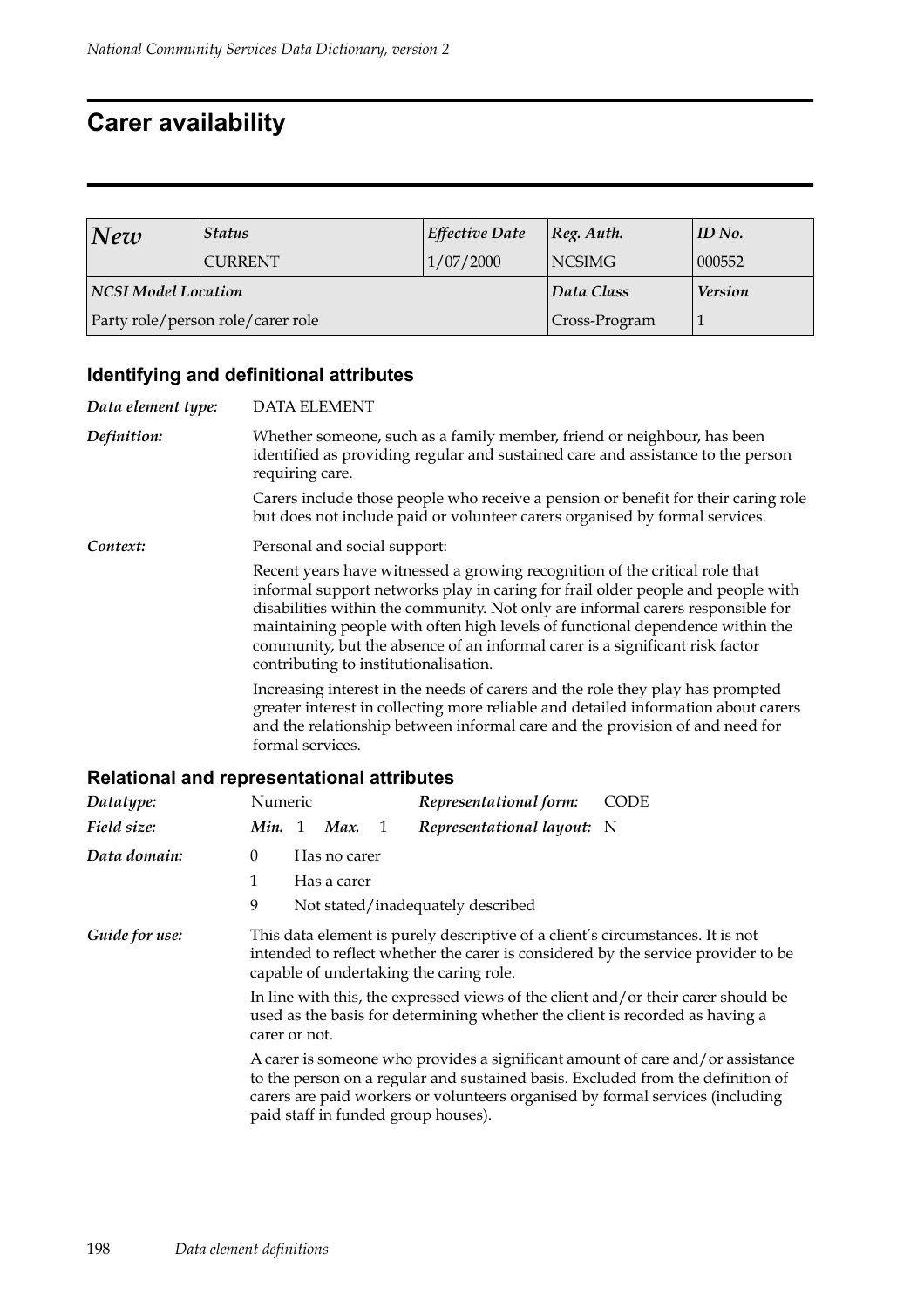### **Carer availability**

| <b>Status</b><br>$N$ ew |                                   | <b>Effective Date</b> | ID No.<br>$ Reg.$ Auth. |        |
|-------------------------|-----------------------------------|-----------------------|-------------------------|--------|
|                         | <b>CURRENT</b>                    | 1/07/2000             | <b>NCSIMG</b>           | 000552 |
| NCSI Model Location     |                                   | Data Class            | <b>Version</b>          |        |
|                         | Party role/person role/carer role | Cross-Program         |                         |        |

#### **Identifying and definitional attributes**

*Data element type:* DATA ELEMENT *Definition:* Whether someone, such as a family member, friend or neighbour, has been identified as providing regular and sustained care and assistance to the person requiring care. Carers include those people who receive a pension or benefit for their caring role but does not include paid or volunteer carers organised by formal services. *Context:* Personal and social support: Recent years have witnessed a growing recognition of the critical role that informal support networks play in caring for frail older people and people with disabilities within the community. Not only are informal carers responsible for maintaining people with often high levels of functional dependence within the community, but the absence of an informal carer is a significant risk factor contributing to institutionalisation. Increasing interest in the needs of carers and the role they play has prompted greater interest in collecting more reliable and detailed information about carers and the relationship between informal care and the provision of and need for formal services.

#### **Relational and representational attributes**

| Datatype:      | <b>CODE</b><br>Numeric<br>Representational form:                                                                                                                                                                                                                                          |
|----------------|-------------------------------------------------------------------------------------------------------------------------------------------------------------------------------------------------------------------------------------------------------------------------------------------|
| Field size:    | Representational layout: N<br>Min. 1 Max.<br>-1                                                                                                                                                                                                                                           |
| Data domain:   | Has no carer<br>0                                                                                                                                                                                                                                                                         |
|                | Has a carer                                                                                                                                                                                                                                                                               |
|                | 9<br>Not stated/inadequately described                                                                                                                                                                                                                                                    |
| Guide for use: | This data element is purely descriptive of a client's circumstances. It is not<br>intended to reflect whether the carer is considered by the service provider to be<br>capable of undertaking the caring role.                                                                            |
|                | In line with this, the expressed views of the client and/or their carer should be<br>used as the basis for determining whether the client is recorded as having a<br>carer or not.                                                                                                        |
|                | A carer is someone who provides a significant amount of care and/or assistance<br>to the person on a regular and sustained basis. Excluded from the definition of<br>carers are paid workers or volunteers organised by formal services (including<br>paid staff in funded group houses). |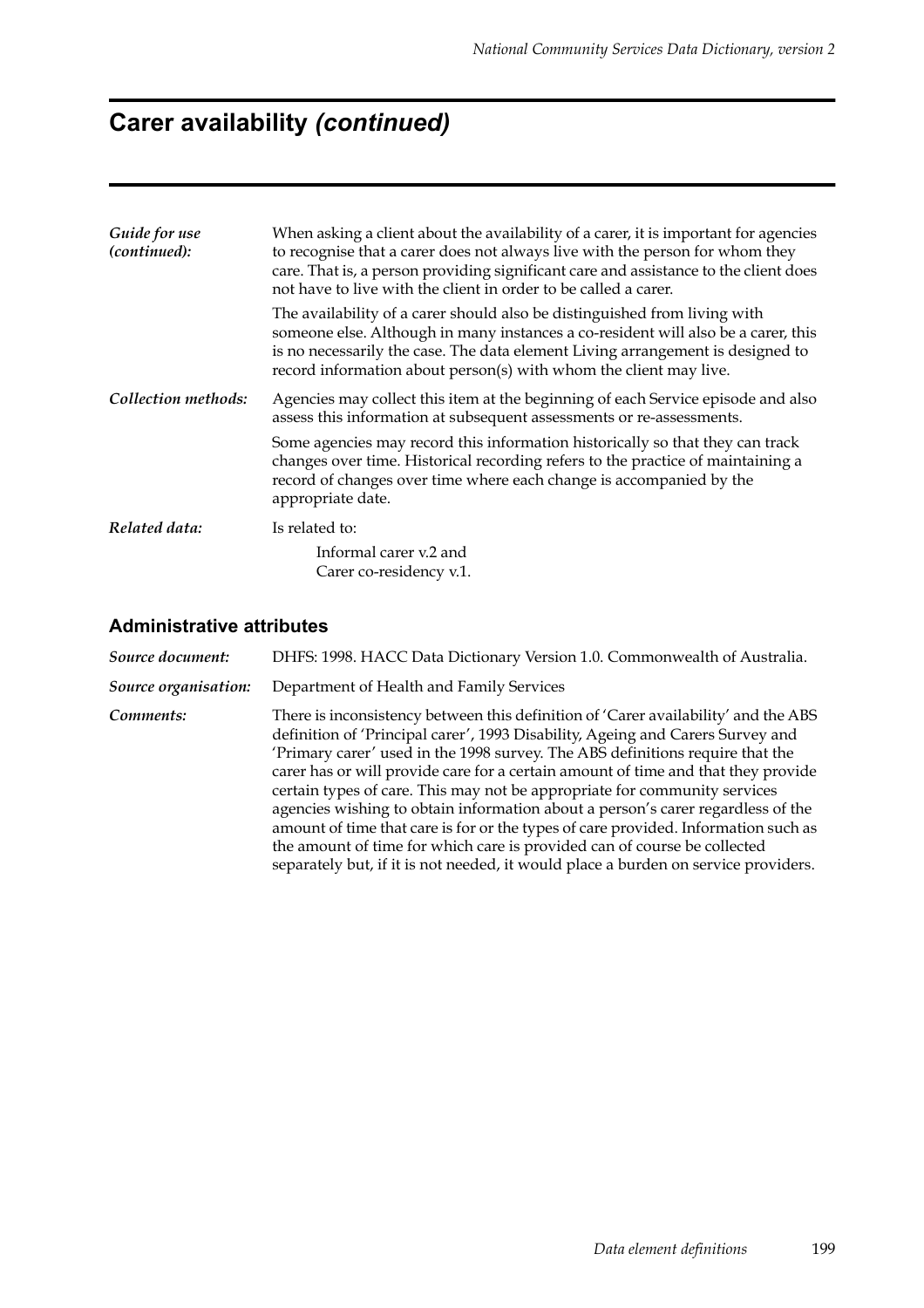# **Carer availability** *(continued)*

| Guide for use<br>(continued): | When asking a client about the availability of a carer, it is important for agencies<br>to recognise that a carer does not always live with the person for whom they<br>care. That is, a person providing significant care and assistance to the client does<br>not have to live with the client in order to be called a carer. |  |  |  |
|-------------------------------|---------------------------------------------------------------------------------------------------------------------------------------------------------------------------------------------------------------------------------------------------------------------------------------------------------------------------------|--|--|--|
|                               | The availability of a carer should also be distinguished from living with<br>someone else. Although in many instances a co-resident will also be a carer, this<br>is no necessarily the case. The data element Living arrangement is designed to<br>record information about person(s) with whom the client may live.           |  |  |  |
| Collection methods:           | Agencies may collect this item at the beginning of each Service episode and also<br>assess this information at subsequent assessments or re-assessments.                                                                                                                                                                        |  |  |  |
|                               | Some agencies may record this information historically so that they can track<br>changes over time. Historical recording refers to the practice of maintaining a<br>record of changes over time where each change is accompanied by the<br>appropriate date.                                                                    |  |  |  |
| Related data:                 | Is related to:                                                                                                                                                                                                                                                                                                                  |  |  |  |
|                               | Informal carer v.2 and<br>Carer co-residency v.1.                                                                                                                                                                                                                                                                               |  |  |  |

| Source document:     | DHFS: 1998. HACC Data Dictionary Version 1.0. Commonwealth of Australia.                                                                                                                                                                                                                                                                                                                                                                                                                                                                                                                                                                                                                                                                                           |  |  |  |
|----------------------|--------------------------------------------------------------------------------------------------------------------------------------------------------------------------------------------------------------------------------------------------------------------------------------------------------------------------------------------------------------------------------------------------------------------------------------------------------------------------------------------------------------------------------------------------------------------------------------------------------------------------------------------------------------------------------------------------------------------------------------------------------------------|--|--|--|
| Source organisation: | Department of Health and Family Services                                                                                                                                                                                                                                                                                                                                                                                                                                                                                                                                                                                                                                                                                                                           |  |  |  |
| Comments:            | There is inconsistency between this definition of 'Carer availability' and the ABS<br>definition of 'Principal carer', 1993 Disability, Ageing and Carers Survey and<br>'Primary carer' used in the 1998 survey. The ABS definitions require that the<br>carer has or will provide care for a certain amount of time and that they provide<br>certain types of care. This may not be appropriate for community services<br>agencies wishing to obtain information about a person's carer regardless of the<br>amount of time that care is for or the types of care provided. Information such as<br>the amount of time for which care is provided can of course be collected<br>separately but, if it is not needed, it would place a burden on service providers. |  |  |  |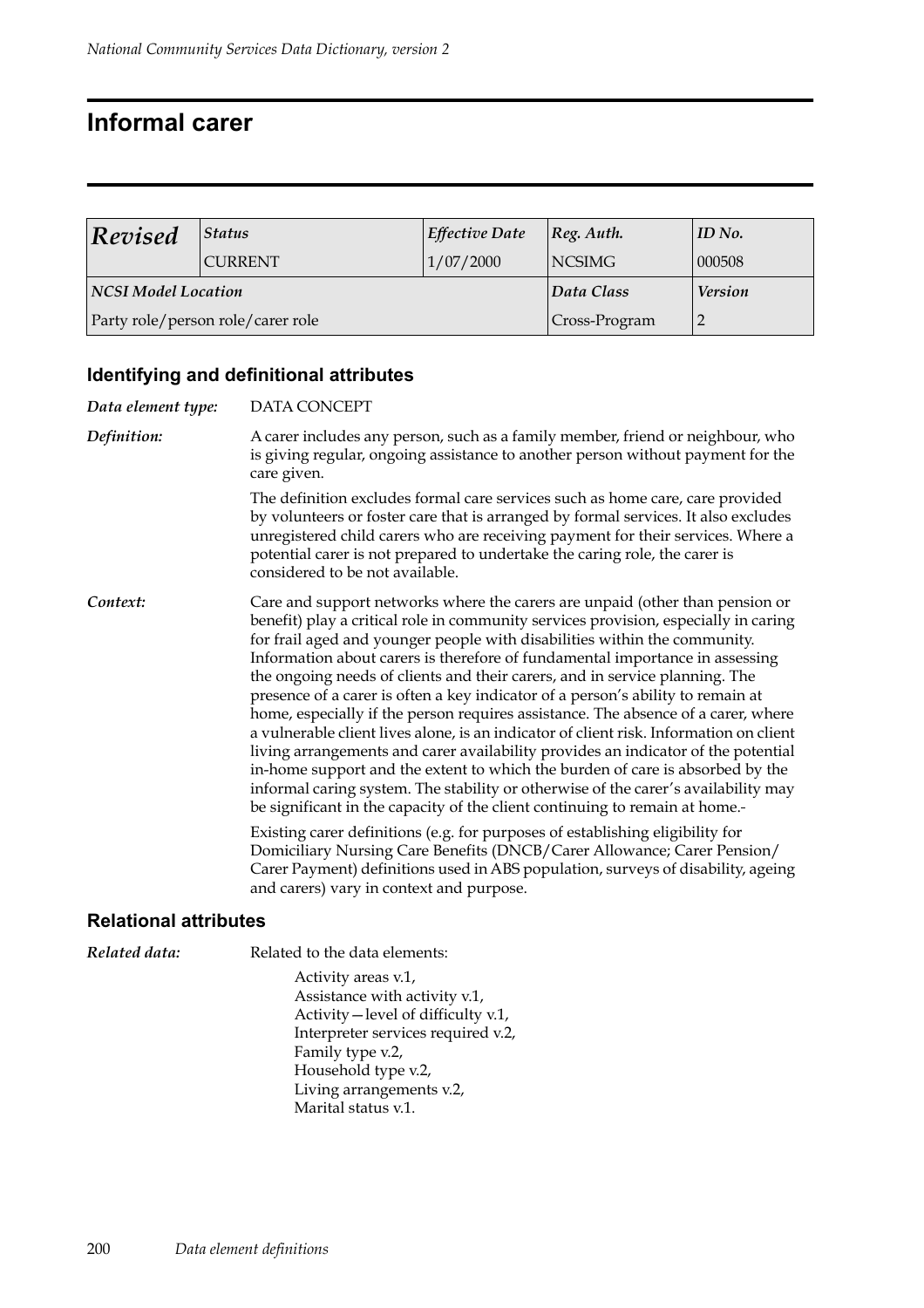## **Informal carer**

| <b>Revised</b><br>$\left  \right. \right)$ Status |                                   | <b>Effective Date</b> | $ Reg.$ Auth.  | ID No. |
|---------------------------------------------------|-----------------------------------|-----------------------|----------------|--------|
|                                                   | <b>CURRENT</b>                    | 1/07/2000             | <b>NCSIMG</b>  | 000508 |
| <b>NCSI Model Location</b>                        |                                   | Data Class            | <b>Version</b> |        |
|                                                   | Party role/person role/carer role | Cross-Program         |                |        |

### **Identifying and definitional attributes**

| Data element type: | DATA CONCEPT                                                                                                                                                                                                                                                                                                                                                                                                                                                                                                                                                                                                                                                                                                                                                                                                                                                                                                                                                                                                                                                                                                                                                                                                                                                                                                             |
|--------------------|--------------------------------------------------------------------------------------------------------------------------------------------------------------------------------------------------------------------------------------------------------------------------------------------------------------------------------------------------------------------------------------------------------------------------------------------------------------------------------------------------------------------------------------------------------------------------------------------------------------------------------------------------------------------------------------------------------------------------------------------------------------------------------------------------------------------------------------------------------------------------------------------------------------------------------------------------------------------------------------------------------------------------------------------------------------------------------------------------------------------------------------------------------------------------------------------------------------------------------------------------------------------------------------------------------------------------|
| Definition:        | A carer includes any person, such as a family member, friend or neighbour, who<br>is giving regular, ongoing assistance to another person without payment for the<br>care given.                                                                                                                                                                                                                                                                                                                                                                                                                                                                                                                                                                                                                                                                                                                                                                                                                                                                                                                                                                                                                                                                                                                                         |
|                    | The definition excludes formal care services such as home care, care provided<br>by volunteers or foster care that is arranged by formal services. It also excludes<br>unregistered child carers who are receiving payment for their services. Where a<br>potential carer is not prepared to undertake the caring role, the carer is<br>considered to be not available.                                                                                                                                                                                                                                                                                                                                                                                                                                                                                                                                                                                                                                                                                                                                                                                                                                                                                                                                                  |
| Context:           | Care and support networks where the carers are unpaid (other than pension or<br>benefit) play a critical role in community services provision, especially in caring<br>for frail aged and younger people with disabilities within the community.<br>Information about carers is therefore of fundamental importance in assessing<br>the ongoing needs of clients and their carers, and in service planning. The<br>presence of a carer is often a key indicator of a person's ability to remain at<br>home, especially if the person requires assistance. The absence of a carer, where<br>a vulnerable client lives alone, is an indicator of client risk. Information on client<br>living arrangements and carer availability provides an indicator of the potential<br>in-home support and the extent to which the burden of care is absorbed by the<br>informal caring system. The stability or otherwise of the carer's availability may<br>be significant in the capacity of the client continuing to remain at home.-<br>Existing carer definitions (e.g. for purposes of establishing eligibility for<br>Domiciliary Nursing Care Benefits (DNCB/Carer Allowance; Carer Pension/<br>Carer Payment) definitions used in ABS population, surveys of disability, ageing<br>and carers) vary in context and purpose. |

#### **Relational attributes**

| Related to the data elements:                                                                                                   |
|---------------------------------------------------------------------------------------------------------------------------------|
| Activity areas v.1,<br>Assistance with activity v.1,<br>Activity-level of difficulty v.1,<br>Interpreter services required v.2, |
| Family type v.2,<br>Household type v.2,<br>Living arrangements v.2,<br>Marital status v.1.                                      |
|                                                                                                                                 |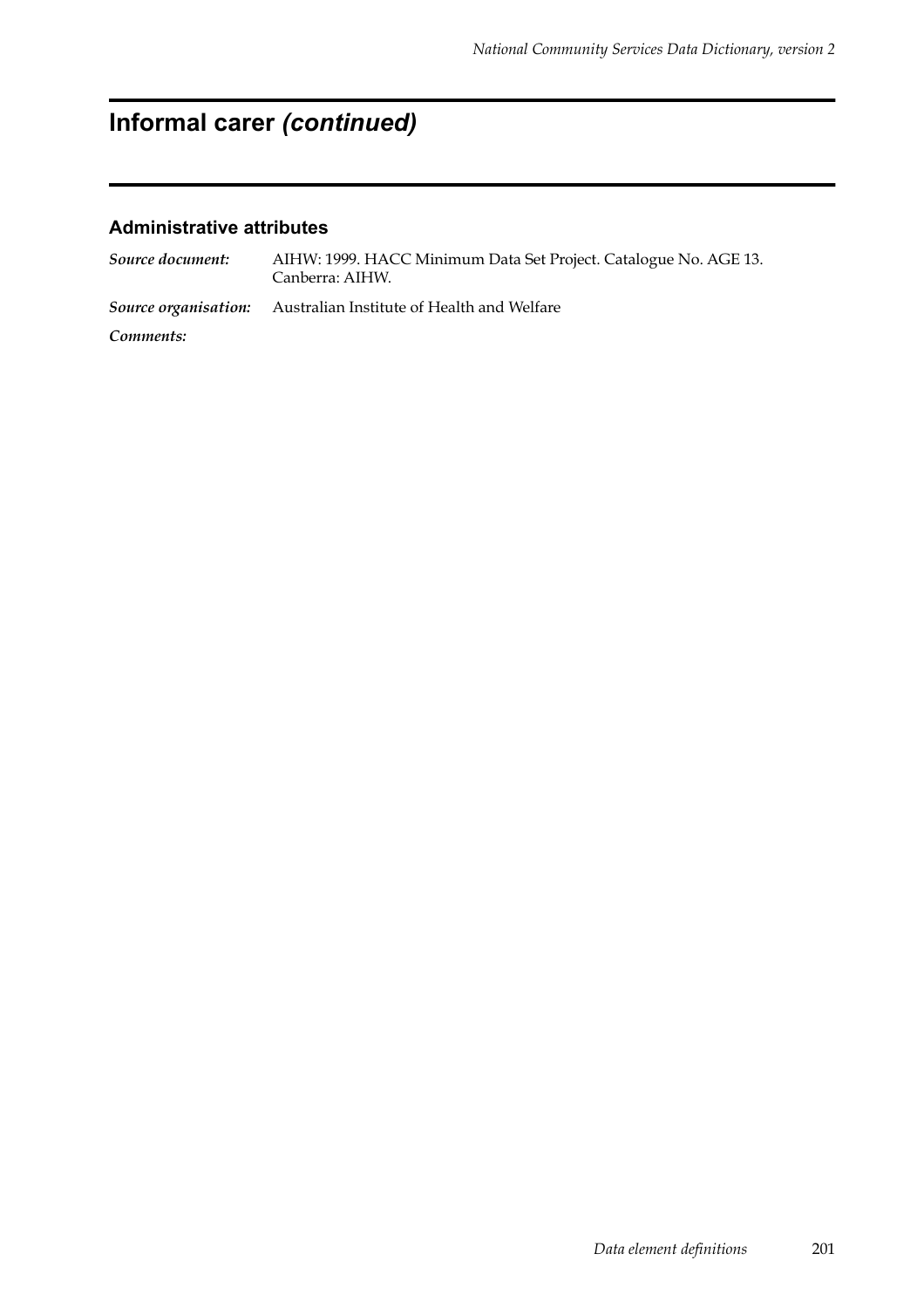# **Informal carer** *(continued)*

| Source document: | AIHW: 1999. HACC Minimum Data Set Project. Catalogue No. AGE 13.<br>Canberra: AIHW. |
|------------------|-------------------------------------------------------------------------------------|
|                  | <b>Source organisation:</b> Australian Institute of Health and Welfare              |
| Comments:        |                                                                                     |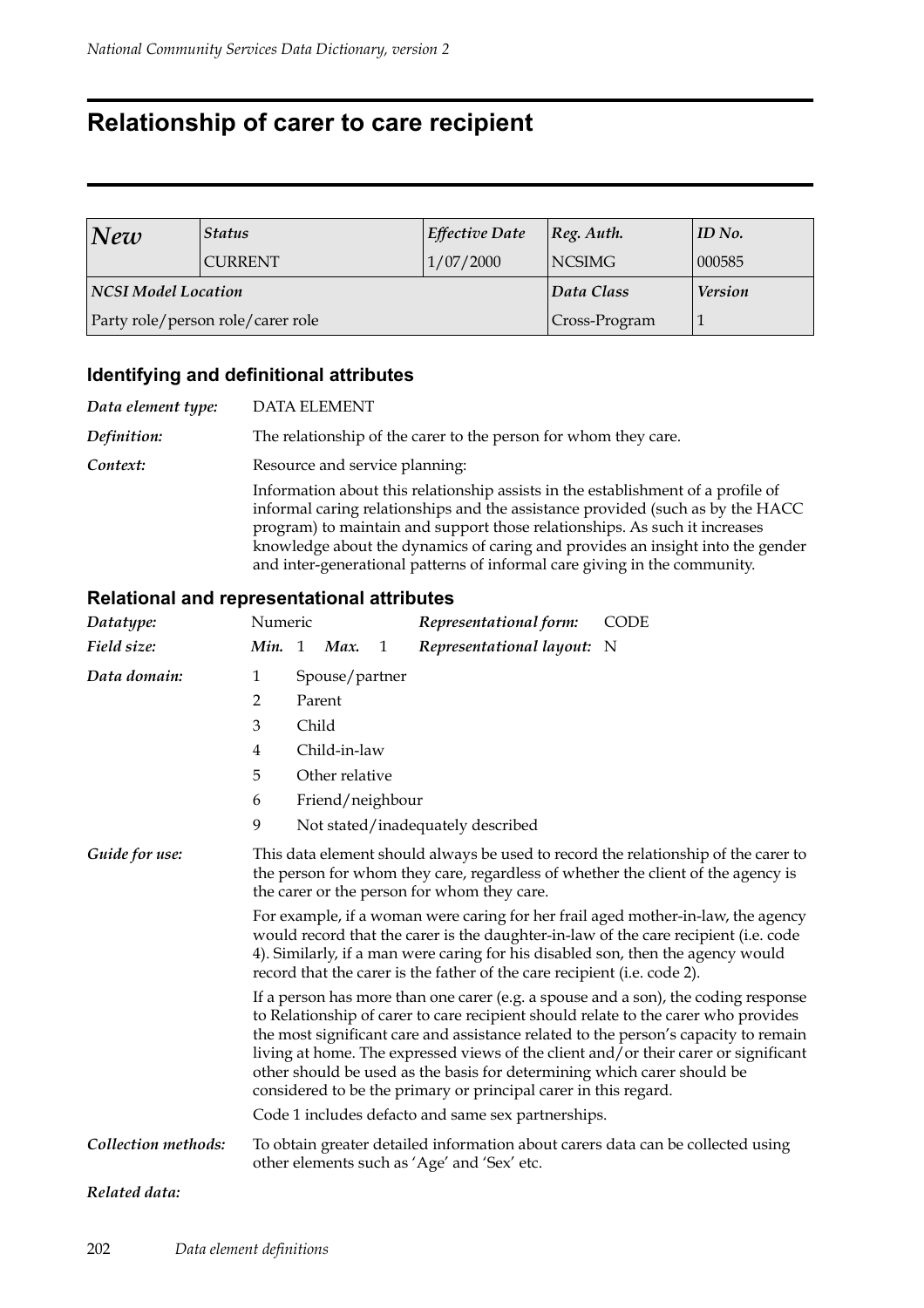## **Relationship of carer to care recipient**

| <b>Status</b><br>New |                                   | <b>Effective Date</b> | $ Reg.$ Auth.  | ID No. |
|----------------------|-----------------------------------|-----------------------|----------------|--------|
|                      | <b>CURRENT</b>                    | 1/07/2000             | <b>NCSIMG</b>  | 000585 |
| NCSI Model Location  |                                   | Data Class            | <b>Version</b> |        |
|                      | Party role/person role/carer role | Cross-Program         |                |        |

#### **Identifying and definitional attributes**

| Data element type: | <b>DATA ELEMENT</b>                                                                                                                                                                                                                                                                                                                                                                                             |
|--------------------|-----------------------------------------------------------------------------------------------------------------------------------------------------------------------------------------------------------------------------------------------------------------------------------------------------------------------------------------------------------------------------------------------------------------|
| Definition:        | The relationship of the carer to the person for whom they care.                                                                                                                                                                                                                                                                                                                                                 |
| Context:           | Resource and service planning:                                                                                                                                                                                                                                                                                                                                                                                  |
|                    | Information about this relationship assists in the establishment of a profile of<br>informal caring relationships and the assistance provided (such as by the HACC<br>program) to maintain and support those relationships. As such it increases<br>knowledge about the dynamics of caring and provides an insight into the gender<br>and inter-generational patterns of informal care giving in the community. |

#### **Relational and representational attributes**

| Datatype:           | Numeric                                                                                                                                                                                                                                                                                                                                                                                                                                                                                              |       |                  |   | Representational form:                             | <b>CODE</b>                                                                     |
|---------------------|------------------------------------------------------------------------------------------------------------------------------------------------------------------------------------------------------------------------------------------------------------------------------------------------------------------------------------------------------------------------------------------------------------------------------------------------------------------------------------------------------|-------|------------------|---|----------------------------------------------------|---------------------------------------------------------------------------------|
| Field size:         | Min. 1                                                                                                                                                                                                                                                                                                                                                                                                                                                                                               |       | Max.             | 1 | Representational layout: N                         |                                                                                 |
| Data domain:        | $\mathbf{1}$                                                                                                                                                                                                                                                                                                                                                                                                                                                                                         |       | Spouse/partner   |   |                                                    |                                                                                 |
|                     | 2                                                                                                                                                                                                                                                                                                                                                                                                                                                                                                    |       | Parent           |   |                                                    |                                                                                 |
|                     | 3                                                                                                                                                                                                                                                                                                                                                                                                                                                                                                    | Child |                  |   |                                                    |                                                                                 |
|                     | $\overline{4}$                                                                                                                                                                                                                                                                                                                                                                                                                                                                                       |       | Child-in-law     |   |                                                    |                                                                                 |
|                     | 5                                                                                                                                                                                                                                                                                                                                                                                                                                                                                                    |       | Other relative   |   |                                                    |                                                                                 |
|                     | 6                                                                                                                                                                                                                                                                                                                                                                                                                                                                                                    |       | Friend/neighbour |   |                                                    |                                                                                 |
|                     | 9                                                                                                                                                                                                                                                                                                                                                                                                                                                                                                    |       |                  |   | Not stated/inadequately described                  |                                                                                 |
| Guide for use:      | This data element should always be used to record the relationship of the carer to<br>the person for whom they care, regardless of whether the client of the agency is<br>the carer or the person for whom they care.                                                                                                                                                                                                                                                                                |       |                  |   |                                                    |                                                                                 |
|                     | For example, if a woman were caring for her frail aged mother-in-law, the agency<br>would record that the carer is the daughter-in-law of the care recipient (i.e. code<br>4). Similarly, if a man were caring for his disabled son, then the agency would<br>record that the carer is the father of the care recipient (i.e. code 2).                                                                                                                                                               |       |                  |   |                                                    |                                                                                 |
|                     | If a person has more than one carer (e.g. a spouse and a son), the coding response<br>to Relationship of carer to care recipient should relate to the carer who provides<br>the most significant care and assistance related to the person's capacity to remain<br>living at home. The expressed views of the client and/or their carer or significant<br>other should be used as the basis for determining which carer should be<br>considered to be the primary or principal carer in this regard. |       |                  |   |                                                    |                                                                                 |
|                     |                                                                                                                                                                                                                                                                                                                                                                                                                                                                                                      |       |                  |   | Code 1 includes defacto and same sex partnerships. |                                                                                 |
| Collection methods: |                                                                                                                                                                                                                                                                                                                                                                                                                                                                                                      |       |                  |   | other elements such as 'Age' and 'Sex' etc.        | To obtain greater detailed information about carers data can be collected using |
|                     |                                                                                                                                                                                                                                                                                                                                                                                                                                                                                                      |       |                  |   |                                                    |                                                                                 |

#### *Related data:*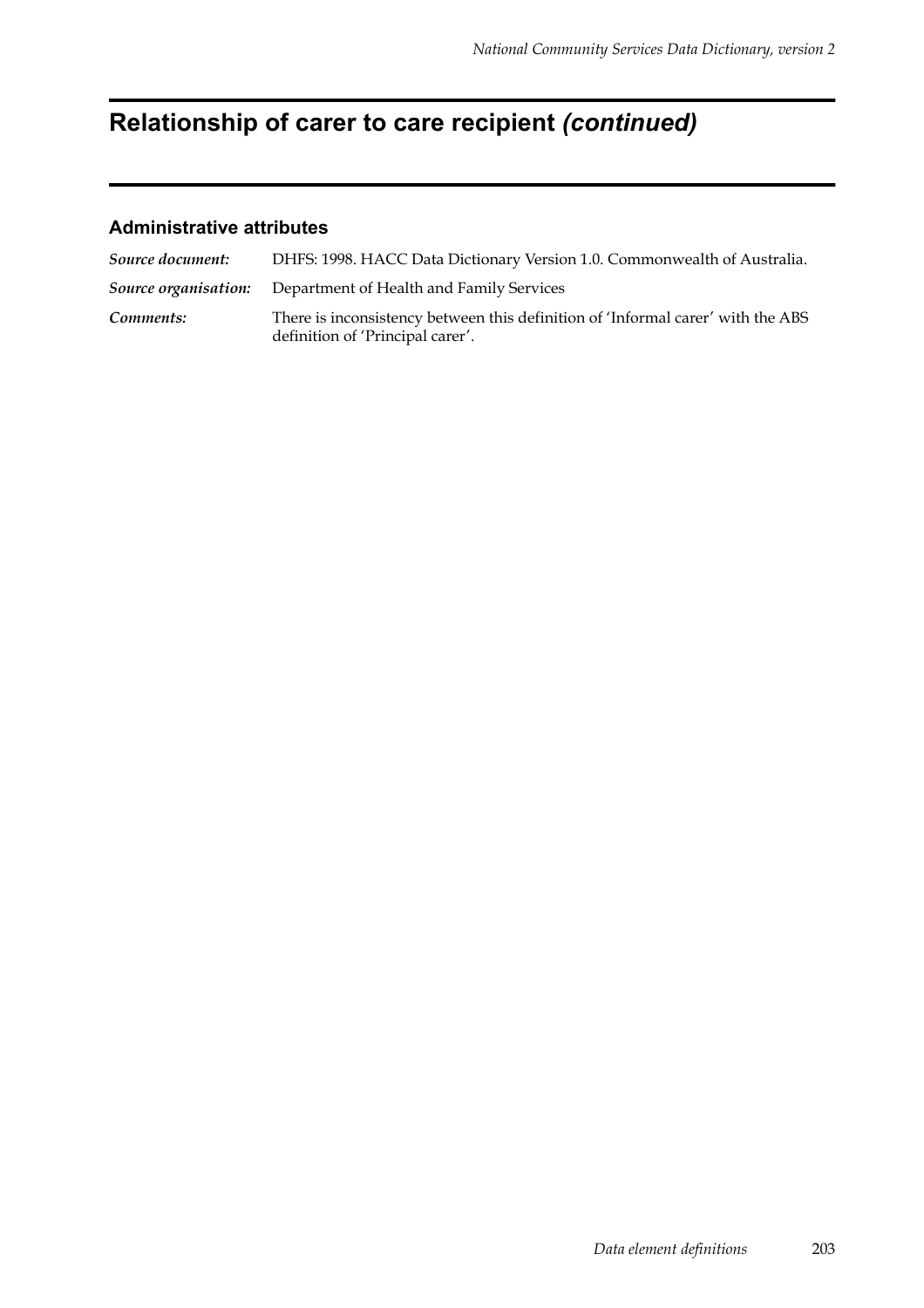# **Relationship of carer to care recipient** *(continued)*

| Source document: | DHFS: 1998. HACC Data Dictionary Version 1.0. Commonwealth of Australia.                                            |
|------------------|---------------------------------------------------------------------------------------------------------------------|
|                  | <b>Source organisation:</b> Department of Health and Family Services                                                |
| Comments:        | There is inconsistency between this definition of 'Informal carer' with the ABS<br>definition of 'Principal carer'. |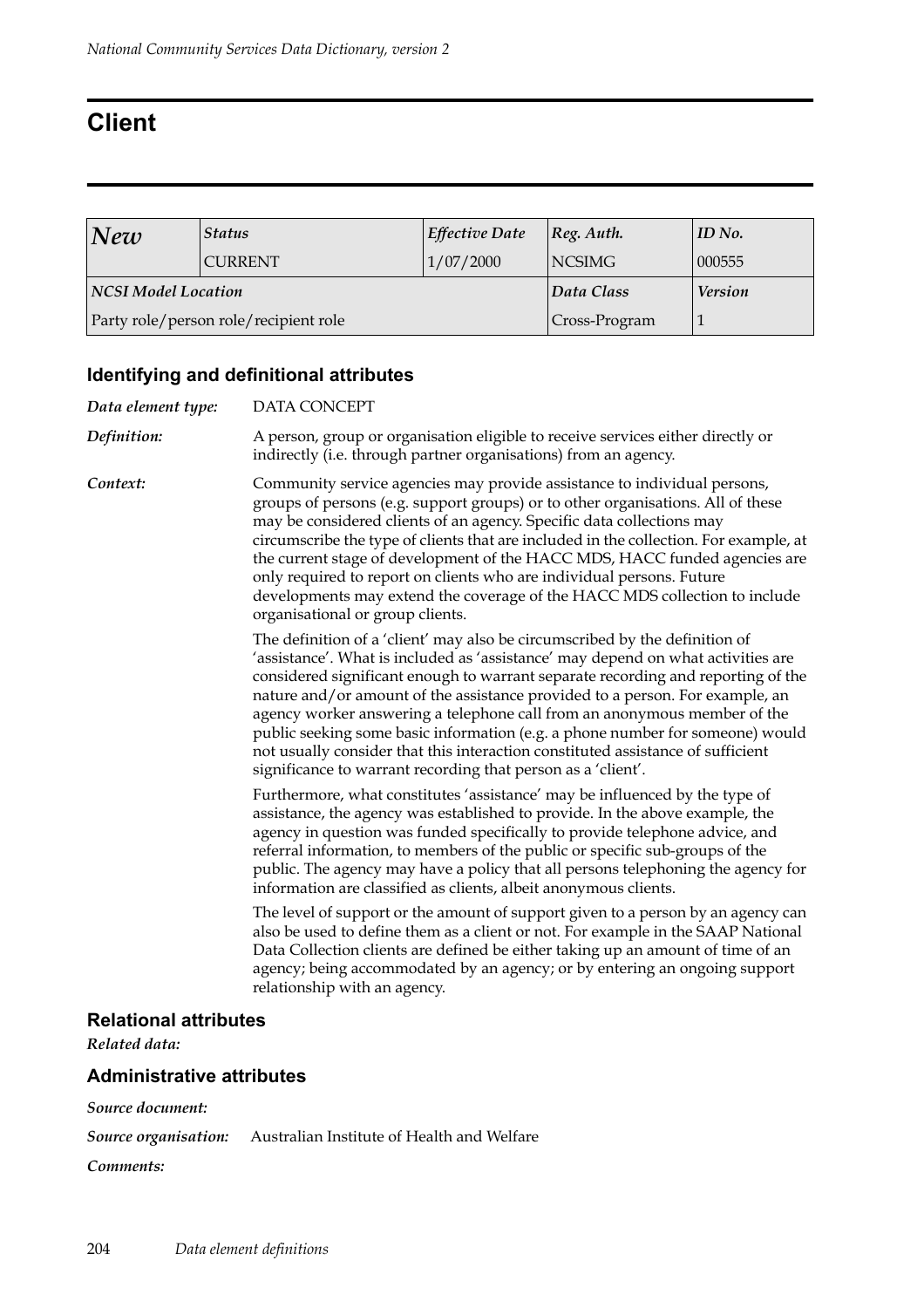# **Client**

| New                                   | <b>Status</b>  | <b>Effective Date</b> | $ Reg.$ Auth.  | ID No. |
|---------------------------------------|----------------|-----------------------|----------------|--------|
|                                       | <b>CURRENT</b> | 1/07/2000             | <b>NCSIMG</b>  | 000555 |
| <b>NCSI Model Location</b>            |                | Data Class            | <b>Version</b> |        |
| Party role/person role/recipient role |                | Cross-Program         |                |        |

### **Identifying and definitional attributes**

| Data element type:               | DATA CONCEPT                                                                                                                                                                                                                                                                                                                                                                                                                                                                                                                                                                                                                                        |
|----------------------------------|-----------------------------------------------------------------------------------------------------------------------------------------------------------------------------------------------------------------------------------------------------------------------------------------------------------------------------------------------------------------------------------------------------------------------------------------------------------------------------------------------------------------------------------------------------------------------------------------------------------------------------------------------------|
| Definition:                      | A person, group or organisation eligible to receive services either directly or<br>indirectly (i.e. through partner organisations) from an agency.                                                                                                                                                                                                                                                                                                                                                                                                                                                                                                  |
| Context:                         | Community service agencies may provide assistance to individual persons,<br>groups of persons (e.g. support groups) or to other organisations. All of these<br>may be considered clients of an agency. Specific data collections may<br>circumscribe the type of clients that are included in the collection. For example, at<br>the current stage of development of the HACC MDS, HACC funded agencies are<br>only required to report on clients who are individual persons. Future<br>developments may extend the coverage of the HACC MDS collection to include<br>organisational or group clients.                                              |
|                                  | The definition of a 'client' may also be circumscribed by the definition of<br>'assistance'. What is included as 'assistance' may depend on what activities are<br>considered significant enough to warrant separate recording and reporting of the<br>nature and/or amount of the assistance provided to a person. For example, an<br>agency worker answering a telephone call from an anonymous member of the<br>public seeking some basic information (e.g. a phone number for someone) would<br>not usually consider that this interaction constituted assistance of sufficient<br>significance to warrant recording that person as a 'client'. |
|                                  | Furthermore, what constitutes 'assistance' may be influenced by the type of<br>assistance, the agency was established to provide. In the above example, the<br>agency in question was funded specifically to provide telephone advice, and<br>referral information, to members of the public or specific sub-groups of the<br>public. The agency may have a policy that all persons telephoning the agency for<br>information are classified as clients, albeit anonymous clients.                                                                                                                                                                  |
|                                  | The level of support or the amount of support given to a person by an agency can<br>also be used to define them as a client or not. For example in the SAAP National<br>Data Collection clients are defined be either taking up an amount of time of an<br>agency; being accommodated by an agency; or by entering an ongoing support<br>relationship with an agency.                                                                                                                                                                                                                                                                               |
| <b>Relational attributes</b>     |                                                                                                                                                                                                                                                                                                                                                                                                                                                                                                                                                                                                                                                     |
| Related data:                    |                                                                                                                                                                                                                                                                                                                                                                                                                                                                                                                                                                                                                                                     |
| <b>Administrative attributes</b> |                                                                                                                                                                                                                                                                                                                                                                                                                                                                                                                                                                                                                                                     |
| Source document:                 |                                                                                                                                                                                                                                                                                                                                                                                                                                                                                                                                                                                                                                                     |

*Source organisation:* Australian Institute of Health and Welfare

*Comments:*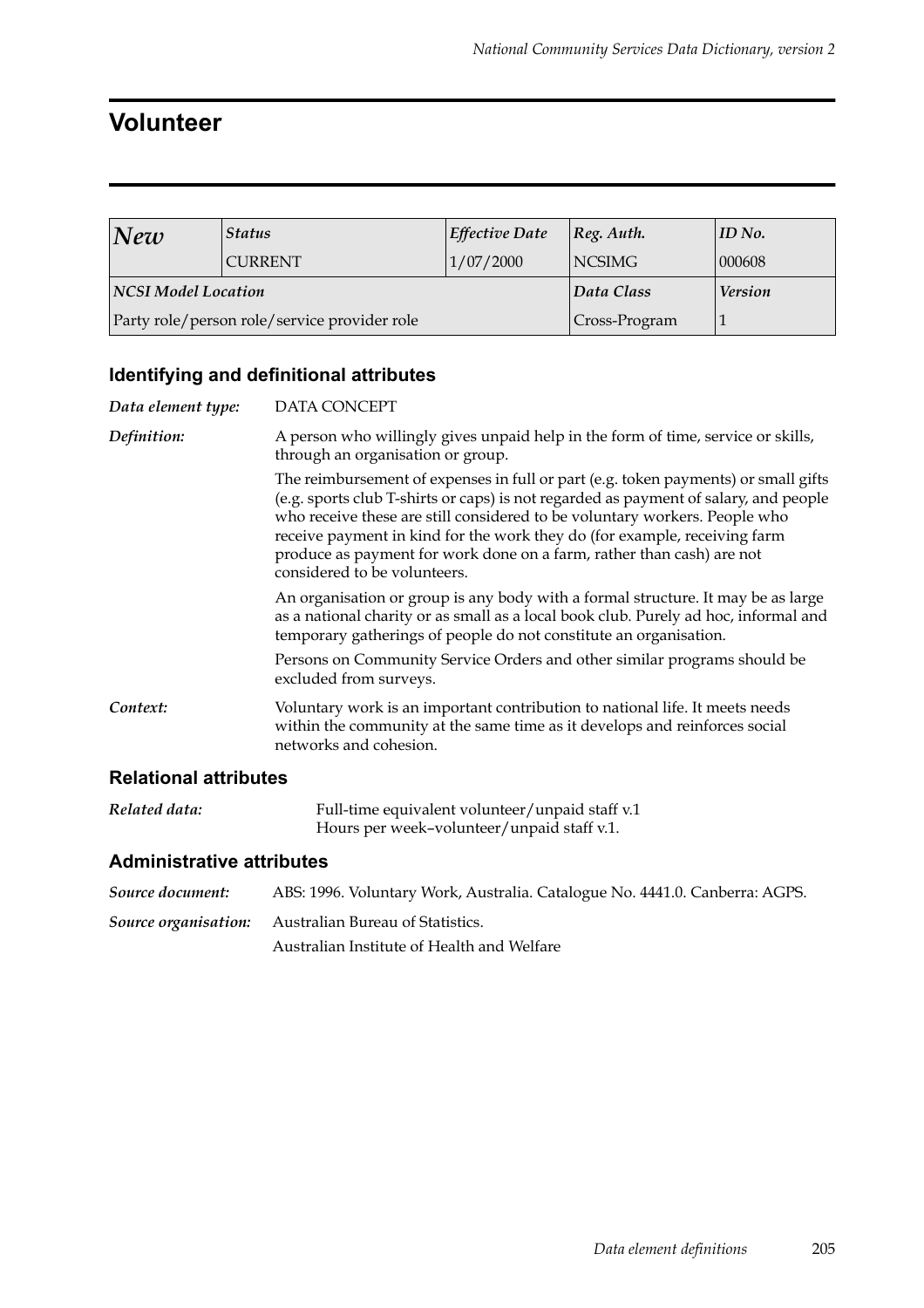### **Volunteer**

| New                                          | <b>Status</b>  | <b>Effective Date</b> | $ Reg.$ Auth.  | ID No. |
|----------------------------------------------|----------------|-----------------------|----------------|--------|
|                                              | <b>CURRENT</b> | 1/07/2000             | <b>NCSIMG</b>  | 000608 |
| <b>NCSI Model Location</b>                   |                | Data Class            | <b>Version</b> |        |
| Party role/person role/service provider role |                |                       | Cross-Program  |        |

### **Identifying and definitional attributes**

| Data element type:           | DATA CONCEPT                                                                                                                                                                                                                                                                                                                                                                                                                                   |
|------------------------------|------------------------------------------------------------------------------------------------------------------------------------------------------------------------------------------------------------------------------------------------------------------------------------------------------------------------------------------------------------------------------------------------------------------------------------------------|
| Definition:                  | A person who willingly gives unpaid help in the form of time, service or skills,<br>through an organisation or group.                                                                                                                                                                                                                                                                                                                          |
|                              | The reimbursement of expenses in full or part (e.g. token payments) or small gifts<br>(e.g. sports club T-shirts or caps) is not regarded as payment of salary, and people<br>who receive these are still considered to be voluntary workers. People who<br>receive payment in kind for the work they do (for example, receiving farm<br>produce as payment for work done on a farm, rather than cash) are not<br>considered to be volunteers. |
|                              | An organisation or group is any body with a formal structure. It may be as large<br>as a national charity or as small as a local book club. Purely ad hoc, informal and<br>temporary gatherings of people do not constitute an organisation.                                                                                                                                                                                                   |
|                              | Persons on Community Service Orders and other similar programs should be<br>excluded from surveys.                                                                                                                                                                                                                                                                                                                                             |
| Context:                     | Voluntary work is an important contribution to national life. It meets needs<br>within the community at the same time as it develops and reinforces social<br>networks and cohesion.                                                                                                                                                                                                                                                           |
| <b>Relational attributes</b> |                                                                                                                                                                                                                                                                                                                                                                                                                                                |

#### *Related data:* Full-time equivalent volunteer/unpaid staff v.1 Hours per week–volunteer/unpaid staff v.1.

| Source document: | ABS: 1996. Voluntary Work, Australia. Catalogue No. 4441.0. Canberra: AGPS. |
|------------------|-----------------------------------------------------------------------------|
|                  | <b>Source organisation:</b> Australian Bureau of Statistics.                |
|                  | Australian Institute of Health and Welfare                                  |